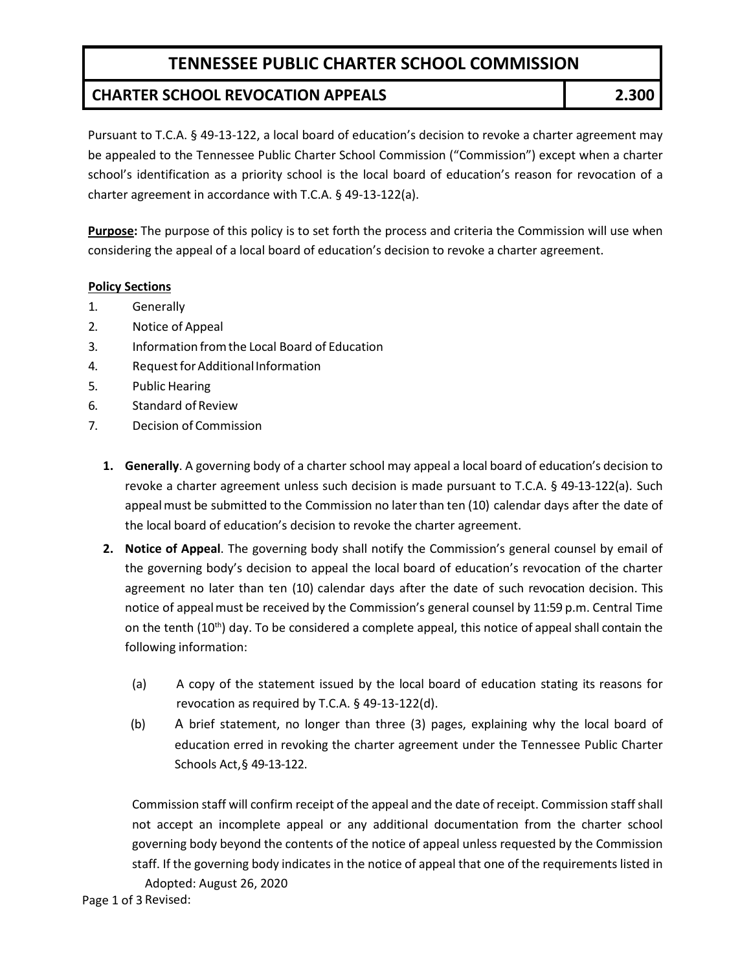# **TENNESSEE PUBLIC CHARTER SCHOOL COMMISSION**

### **CHARTER SCHOOL REVOCATION APPEALS 2.300**

Pursuant to T.C.A. § 49-13-122, a local board of education's decision to revoke a charter agreement may be appealed to the Tennessee Public Charter School Commission ("Commission") except when a charter school's identification as a priority school is the local board of education's reason for revocation of a charter agreement in accordance with T.C.A. § 49-13-122(a).

**Purpose:** The purpose of this policy is to set forth the process and criteria the Commission will use when considering the appeal of a local board of education's decision to revoke a charter agreement.

#### **Policy Sections**

- 1. Generally
- 2. Notice of Appeal
- 3. Information fromthe Local Board of Education
- 4. Request for Additional Information
- 5. Public Hearing
- 6. Standard of Review
- 7. Decision of Commission
	- **1. Generally**. A governing body of a charter school may appeal a local board of education's decision to revoke a charter agreement unless such decision is made pursuant to T.C.A. § 49-13-122(a). Such appeal must be submitted to the Commission no later than ten (10) calendar days after the date of the local board of education's decision to revoke the charter agreement.
	- **2. Notice of Appeal**. The governing body shall notify the Commission's general counsel by email of the governing body's decision to appeal the local board of education's revocation of the charter agreement no later than ten (10) calendar days after the date of such revocation decision. This notice of appeal must be received by the Commission's general counsel by 11:59 p.m. Central Time on the tenth (10<sup>th</sup>) day. To be considered a complete appeal, this notice of appeal shall contain the following information:
		- (a) A copy of the statement issued by the local board of education stating its reasons for revocation as required by T.C.A. § 49-13-122(d).
		- (b) A brief statement, no longer than three (3) pages, explaining why the local board of education erred in revoking the charter agreement under the Tennessee Public Charter Schools Act,§ 49-13-122.

Commission staff will confirm receipt of the appeal and the date of receipt. Commission staff shall not accept an incomplete appeal or any additional documentation from the charter school governing body beyond the contents of the notice of appeal unless requested by the Commission staff. If the governing body indicates in the notice of appeal that one of the requirements listed in

Adopted: August 26, 2020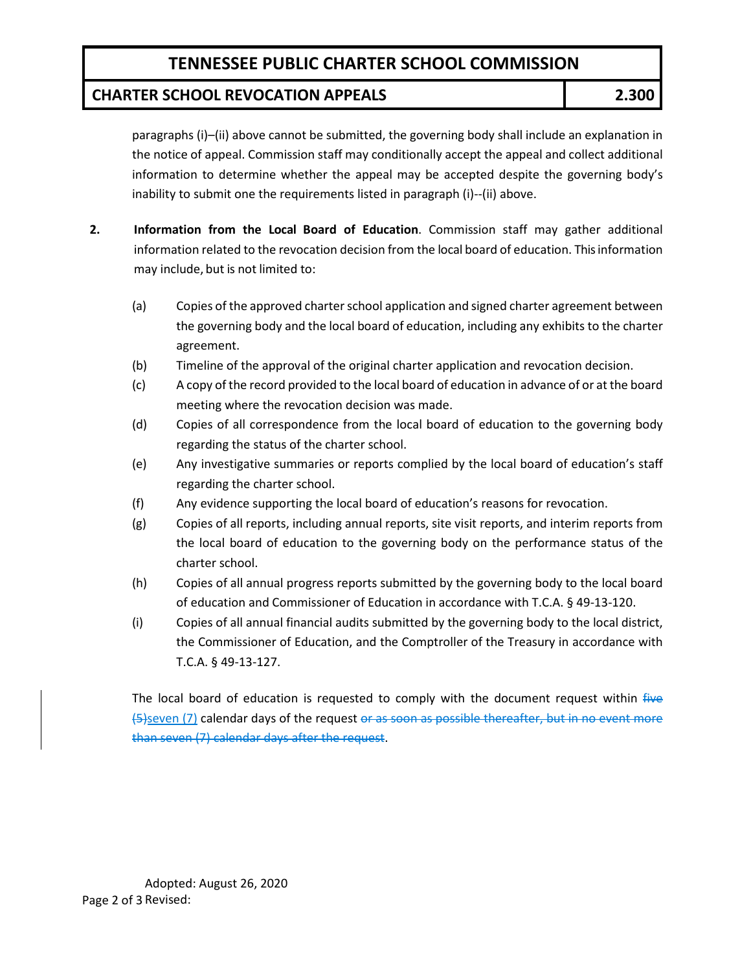# **TENNESSEE PUBLIC CHARTER SCHOOL COMMISSION**

### **CHARTER SCHOOL REVOCATION APPEALS 2.300**

paragraphs (i)–(ii) above cannot be submitted, the governing body shall include an explanation in the notice of appeal. Commission staff may conditionally accept the appeal and collect additional information to determine whether the appeal may be accepted despite the governing body's inability to submit one the requirements listed in paragraph (i)--(ii) above.

- **2. Information from the Local Board of Education**. Commission staff may gather additional information related to the revocation decision from the local board of education. This information may include, but is not limited to:
	- (a) Copies of the approved charter school application and signed charter agreement between the governing body and the local board of education, including any exhibits to the charter agreement.
	- (b) Timeline of the approval of the original charter application and revocation decision.
	- (c) A copy of the record provided to the local board of education in advance of or at the board meeting where the revocation decision was made.
	- (d) Copies of all correspondence from the local board of education to the governing body regarding the status of the charter school.
	- (e) Any investigative summaries or reports complied by the local board of education's staff regarding the charter school.
	- (f) Any evidence supporting the local board of education's reasons for revocation.
	- (g) Copies of all reports, including annual reports, site visit reports, and interim reports from the local board of education to the governing body on the performance status of the charter school.
	- (h) Copies of all annual progress reports submitted by the governing body to the local board of education and Commissioner of Education in accordance with T.C.A. § 49-13-120.
	- (i) Copies of all annual financial audits submitted by the governing body to the local district, the Commissioner of Education, and the Comptroller of the Treasury in accordance with T.C.A. § 49-13-127.

The local board of education is requested to comply with the document request within five (5)seven (7) calendar days of the request or as soon as possible thereafter, but in no event more than seven (7) calendar days after the request.